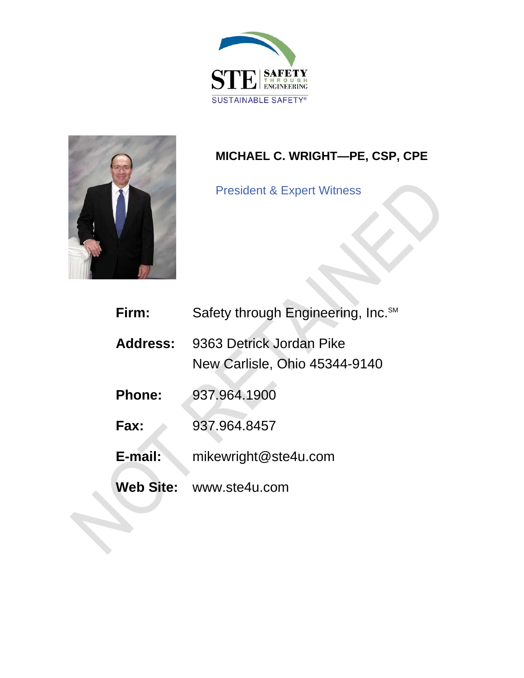



# **MICHAEL C. WRIGHT—PE, CSP, CPE**

President & Expert Witness

| Firm:           | Safety through Engineering, Inc. SM                              |
|-----------------|------------------------------------------------------------------|
| <b>Address:</b> | 9363 Detrick Jordan Pike<br><b>New Carlisle, Ohio 45344-9140</b> |
| <b>Phone:</b>   | 937.964.1900                                                     |
| Fax:            | 937.964.8457                                                     |
| E-mail:         | mikewright@ste4u.com                                             |
| Web Site:       | www.ste4u.com                                                    |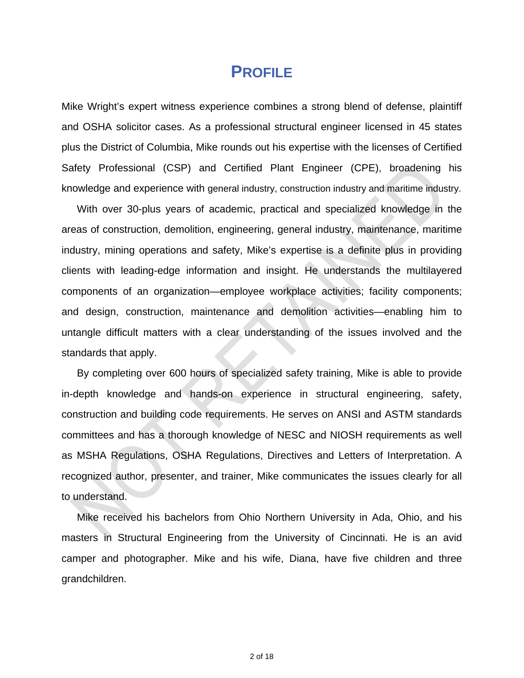### **PROFILE**

Mike Wright's expert witness experience combines a strong blend of defense, plaintiff and OSHA solicitor cases. As a professional structural engineer licensed in 45 states plus the District of Columbia, Mike rounds out his expertise with the licenses of Certified Safety Professional (CSP) and Certified Plant Engineer (CPE), broadening his knowledge and experience with general industry, construction industry and maritime industry.

With over 30-plus years of academic, practical and specialized knowledge in the areas of construction, demolition, engineering, general industry, maintenance, maritime industry, mining operations and safety, Mike's expertise is a definite plus in providing clients with leading-edge information and insight. He understands the multilayered components of an organization—employee workplace activities; facility components; and design, construction, maintenance and demolition activities—enabling him to untangle difficult matters with a clear understanding of the issues involved and the standards that apply.

By completing over 600 hours of specialized safety training, Mike is able to provide in-depth knowledge and hands-on experience in structural engineering, safety, construction and building code requirements. He serves on ANSI and ASTM standards committees and has a thorough knowledge of NESC and NIOSH requirements as well as MSHA Regulations, OSHA Regulations, Directives and Letters of Interpretation. A recognized author, presenter, and trainer, Mike communicates the issues clearly for all to understand.

Mike received his bachelors from Ohio Northern University in Ada, Ohio, and his masters in Structural Engineering from the University of Cincinnati. He is an avid camper and photographer. Mike and his wife, Diana, have five children and three grandchildren.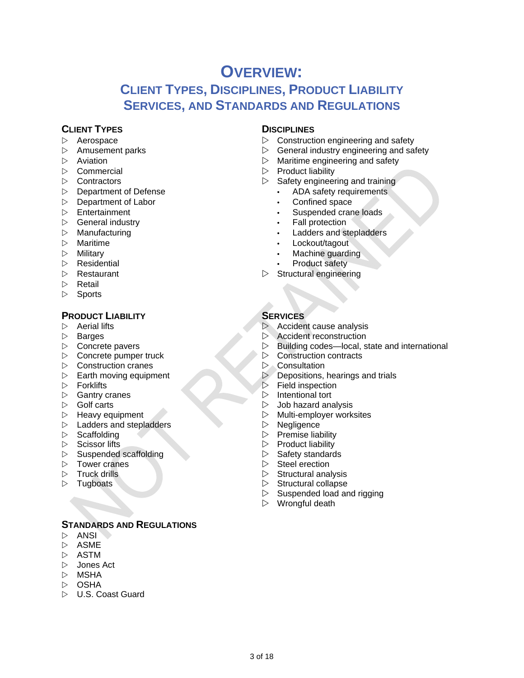### **OVERVIEW:**

### **CLIENT TYPES, DISCIPLINES, PRODUCT LIABILITY SERVICES, AND STANDARDS AND REGULATIONS**

#### **CLIENT TYPES** DISCIPLINES

- 
- 
- 
- 
- 
- Department of Defense ADA safety requirements
- Department of Labor **•** Confined space
- 
- General industry Fall protection
- 
- 
- 
- 
- 
- $\triangleright$  Retail
- $\triangleright$  Sports

#### **PRODUCT LIABILITY** SERVICES

- 
- 
- 
- $\triangleright$  Concrete pumper truck  $\triangleright$  Construction cranes
- 
- D Construction cranes 
D Consultation<br>
⇒ Consultation<br>
⇒ Depositions,
- 
- 
- 
- 
- $\triangleright$  Ladders and stepladders  $\triangleright$  Negligence
- 
- 
- $\triangleright$  Suspended scaffolding  $\triangleright$  Safety standards
- 
- 
- 

#### **STANDARDS AND REGULATIONS**

- $\triangleright$  ANSI
- $\triangleright$  ASME
- $\triangleright$  ASTM
- $\triangleright$  Jones Act
- $\triangleright$  MSHA
- $\triangleright$  OSHA
- $\triangleright$  U.S. Coast Guard

- $\triangleright$  Aerospace  $\triangleright$  Construction engineering and safety
- $\triangleright$  Amusement parks  $\triangleright$  General industry engineering and safety
- Aviation **Naritime** engineering and safety
- $\triangleright$  Commercial  $\triangleright$  Product liability
- $\triangleright$  Contractors  $\triangleright$  Safety engineering and training
	-
	-
- Entertainment Suspended crane loads
	-
- Manufacturing Ladders and stepladders
- Maritime Lockout/tagout
- Military Machine guarding
- Residential Product safety
- **Subsetzurant Structural engineering** Structural engineering

- Aerial lifts Accident cause analysis
- D Barges D Accident reconstruction
- $\triangleright$  Concrete pavers  $\triangleright$  Building codes—local, state and international  $\triangleright$  Concrete pumper truck  $\triangleright$  Construction contracts
	-
	-
	- Depositions, hearings and trials
- $\triangleright$  Forklifts  $\triangleright$  Field inspection
- D Gantry cranes **Intentional tort Intentional tort Intentional tort**
- Golf carts Job hazard analysis
- $\triangleright$  Heavy equipment  $\triangleright$  Multi-employer worksites
	-
- D Scaffolding **Premise liability**
- $\triangleright$  Scissor lifts  $\triangleright$  Product liability
	-
- $\triangleright$  Tower cranes  $\triangleright$  Steel erection
- $\triangleright$  Truck drills  $\triangleright$  Structural analysis
- **Structural collapse**  $\triangleright$  Structural collapse
	- $\triangleright$  Suspended load and rigging
	- $\triangleright$  Wrongful death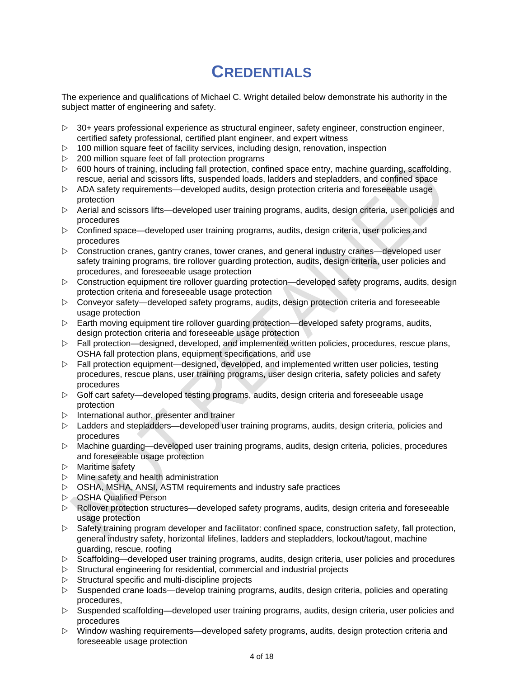# **CREDENTIALS**

The experience and qualifications of Michael C. Wright detailed below demonstrate his authority in the subject matter of engineering and safety.

- $\triangleright$  30+ years professional experience as structural engineer, safety engineer, construction engineer, certified safety professional, certified plant engineer, and expert witness
- $\triangleright$  100 million square feet of facility services, including design, renovation, inspection
- $\triangleright$  200 million square feet of fall protection programs
- $\triangleright$  600 hours of training, including fall protection, confined space entry, machine guarding, scaffolding, rescue, aerial and scissors lifts, suspended loads, ladders and stepladders, and confined space
- $\triangleright$  ADA safety requirements—developed audits, design protection criteria and foreseeable usage protection
- $\triangleright$  Aerial and scissors lifts—developed user training programs, audits, design criteria, user policies and procedures
- $\triangleright$  Confined space—developed user training programs, audits, design criteria, user policies and procedures
- $\triangleright$  Construction cranes, gantry cranes, tower cranes, and general industry cranes—developed user safety training programs, tire rollover guarding protection, audits, design criteria, user policies and procedures, and foreseeable usage protection
- $\triangleright$  Construction equipment tire rollover guarding protection—developed safety programs, audits, design protection criteria and foreseeable usage protection
- $\triangleright$  Conveyor safety—developed safety programs, audits, design protection criteria and foreseeable usage protection
- $\triangleright$  Earth moving equipment tire rollover guarding protection—developed safety programs, audits, design protection criteria and foreseeable usage protection
- $\triangleright$  Fall protection—designed, developed, and implemented written policies, procedures, rescue plans, OSHA fall protection plans, equipment specifications, and use
- $\triangleright$  Fall protection equipment—designed, developed, and implemented written user policies, testing procedures, rescue plans, user training programs, user design criteria, safety policies and safety procedures
- $\triangleright$  Golf cart safety—developed testing programs, audits, design criteria and foreseeable usage protection
- $\triangleright$  International author, presenter and trainer
- $\triangleright$  Ladders and stepladders—developed user training programs, audits, design criteria, policies and procedures
- Machine guarding—developed user training programs, audits, design criteria, policies, procedures and foreseeable usage protection
- $\triangleright$  Maritime safety
- $\triangleright$  Mine safety and health administration
- $\triangleright$  OSHA, MSHA, ANSI, ASTM requirements and industry safe practices
- OSHA Qualified Person
- $\triangleright$  Rollover protection structures—developed safety programs, audits, design criteria and foreseeable usage protection
- $\triangleright$  Safety training program developer and facilitator: confined space, construction safety, fall protection, general industry safety, horizontal lifelines, ladders and stepladders, lockout/tagout, machine guarding, rescue, roofing
- $\triangleright$  Scaffolding—developed user training programs, audits, design criteria, user policies and procedures
- $\triangleright$  Structural engineering for residential, commercial and industrial projects
- $\triangleright$  Structural specific and multi-discipline projects
- $\triangleright$  Suspended crane loads—develop training programs, audits, design criteria, policies and operating procedures,
- $\triangleright$  Suspended scaffolding—developed user training programs, audits, design criteria, user policies and procedures
- $\triangleright$  Window washing requirements—developed safety programs, audits, design protection criteria and foreseeable usage protection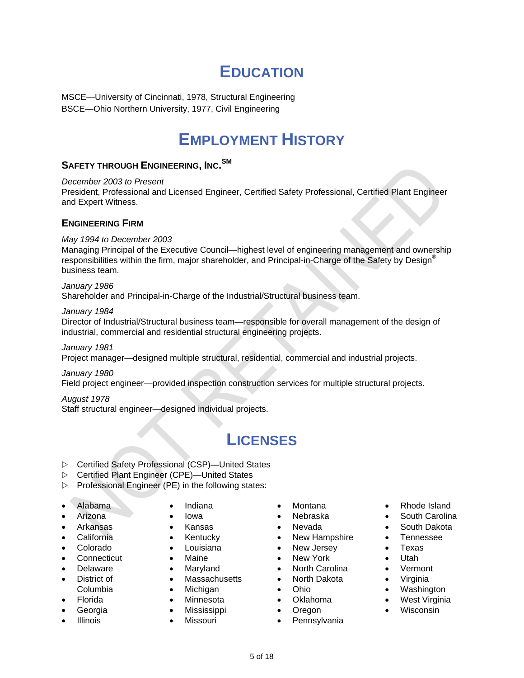# **EDUCATION**

MSCE—University of Cincinnati, 1978, Structural Engineering BSCE—Ohio Northern University, 1977, Civil Engineering

## **EMPLOYMENT HISTORY**

### **SAFETY THROUGH ENGINEERING, INC. SM**

*December 2003 to Present*  President, Professional and Licensed Engineer, Certified Safety Professional, Certified Plant Engineer and Expert Witness.

#### **ENGINEERING FIRM**

#### *May 1994 to December 2003*

Managing Principal of the Executive Council—highest level of engineering management and ownership responsibilities within the firm, major shareholder, and Principal-in-Charge of the Safety by Design® business team.

#### *January 1986*

Shareholder and Principal-in-Charge of the Industrial/Structural business team.

#### *January 1984*

Director of Industrial/Structural business team—responsible for overall management of the design of industrial, commercial and residential structural engineering projects.

*January 1981*  Project manager—designed multiple structural, residential, commercial and industrial projects.

#### *January 1980*

Field project engineer—provided inspection construction services for multiple structural projects.

#### *August 1978*

Staff structural engineer—designed individual projects.

### **LICENSES**

- Certified Safety Professional (CSP)—United States
- Certified Plant Engineer (CPE)—United States
- $\triangleright$  Professional Engineer (PE) in the following states:
- Alabama
- Arizona
- Arkansas
- California
- Colorado
- Connecticut
- Delaware
- District of Columbia
- Florida
- Georgia
- Illinois
- Indiana
- Iowa
- Kansas
- Kentucky
- Louisiana
- Maine
- Maryland
- Massachusetts
- Michigan
- Minnesota
- **•** Mississippi
- Missouri
- Montana
- Nebraska
- Nevada
- New Hampshire
- New Jersey
- New York
- North Carolina
- North Dakota
- Ohio
- Oklahoma
- Oregon
- Pennsylvania
- Rhode Island
- South Carolina
- South Dakota
- Tennessee
- Texas
- Utah
- Vermont
- Virginia
- Washington
- West Virginia<br>• Wisconsin
- Wisconsin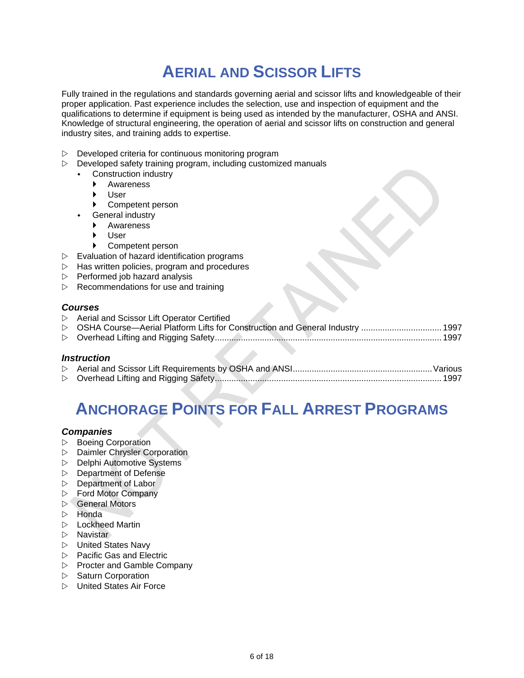# **AERIAL AND SCISSOR LIFTS**

Fully trained in the regulations and standards governing aerial and scissor lifts and knowledgeable of their proper application. Past experience includes the selection, use and inspection of equipment and the qualifications to determine if equipment is being used as intended by the manufacturer, OSHA and ANSI. Knowledge of structural engineering, the operation of aerial and scissor lifts on construction and general industry sites, and training adds to expertise.

- $\triangleright$  Developed criteria for continuous monitoring program
- $\triangleright$  Developed safety training program, including customized manuals
	- Construction industry
		- Awareness
		- User
		- Competent person
		- General industry
			- Awareness
			- User
			- ▶ Competent person
- $\triangleright$  Evaluation of hazard identification programs
- $\triangleright$  Has written policies, program and procedures
- $\triangleright$  Performed job hazard analysis
- $\triangleright$  Recommendations for use and training

#### *Courses*

| $\triangleright$ Aerial and Scissor Lift Operator Certified                     |  |
|---------------------------------------------------------------------------------|--|
| ▷ OSHA Course—Aerial Platform Lifts for Construction and General Industry  1997 |  |
|                                                                                 |  |
|                                                                                 |  |

#### *Instruction*

# **ANCHORAGE POINTS FOR FALL ARREST PROGRAMS**

#### *Companies*

- $\triangleright$  Boeing Corporation
- $\triangleright$  Daimler Chrysler Corporation
- $\triangleright$  Delphi Automotive Systems
- $\triangleright$  Department of Defense
- $\triangleright$  Department of Labor
- Ford Motor Company
- **⊳** General Motors
- $\triangleright$  Honda
- $\triangleright$  Lockheed Martin
- $\triangleright$  Navistar
- $\triangleright$  United States Navy
- $\triangleright$  Pacific Gas and Electric
- $\triangleright$  Procter and Gamble Company
- $\triangleright$  Saturn Corporation
- $\triangleright$  United States Air Force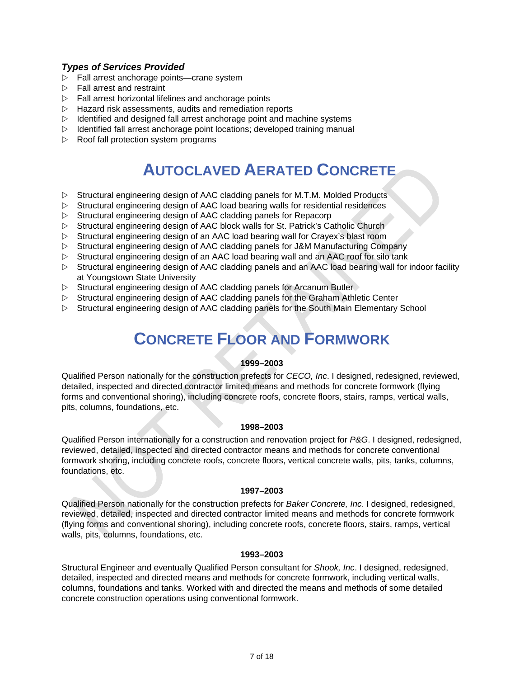#### *Types of Services Provided*

- $\triangleright$  Fall arrest anchorage points—crane system
- $\triangleright$  Fall arrest and restraint
- $\triangleright$  Fall arrest horizontal lifelines and anchorage points
- $\triangleright$  Hazard risk assessments, audits and remediation reports
- $\triangleright$  Identified and designed fall arrest anchorage point and machine systems
- $\triangleright$  Identified fall arrest anchorage point locations; developed training manual
- $\triangleright$  Roof fall protection system programs

### **AUTOCLAVED AERATED CONCRETE**

- $\triangleright$  Structural engineering design of AAC cladding panels for M.T.M. Molded Products
- $\triangleright$  Structural engineering design of AAC load bearing walls for residential residences
- $\triangleright$  Structural engineering design of AAC cladding panels for Repacorp
- $\triangleright$  Structural engineering design of AAC block walls for St. Patrick's Catholic Church
- $\triangleright$  Structural engineering design of an AAC load bearing wall for Crayex's blast room
- $\triangleright$  Structural engineering design of AAC cladding panels for J&M Manufacturing Company
- $\triangleright$  Structural engineering design of an AAC load bearing wall and an AAC roof for silo tank
- $\triangleright$  Structural engineering design of AAC cladding panels and an AAC load bearing wall for indoor facility at Youngstown State University
- $\triangleright$  Structural engineering design of AAC cladding panels for Arcanum Butler
- $\triangleright$  Structural engineering design of AAC cladding panels for the Graham Athletic Center
- $\triangleright$  Structural engineering design of AAC cladding panels for the South Main Elementary School

# **CONCRETE FLOOR AND FORMWORK**

#### **1999–2003**

Qualified Person nationally for the construction prefects for *CECO, Inc*. I designed, redesigned, reviewed, detailed, inspected and directed contractor limited means and methods for concrete formwork (flying forms and conventional shoring), including concrete roofs, concrete floors, stairs, ramps, vertical walls, pits, columns, foundations, etc.

#### **1998–2003**

Qualified Person internationally for a construction and renovation project for *P&G*. I designed, redesigned, reviewed, detailed, inspected and directed contractor means and methods for concrete conventional formwork shoring, including concrete roofs, concrete floors, vertical concrete walls, pits, tanks, columns, foundations, etc.

#### **1997–2003**

Qualified Person nationally for the construction prefects for *Baker Concrete, Inc*. I designed, redesigned, reviewed, detailed, inspected and directed contractor limited means and methods for concrete formwork (flying forms and conventional shoring), including concrete roofs, concrete floors, stairs, ramps, vertical walls, pits, columns, foundations, etc.

#### **1993–2003**

Structural Engineer and eventually Qualified Person consultant for *Shook, Inc*. I designed, redesigned, detailed, inspected and directed means and methods for concrete formwork, including vertical walls, columns, foundations and tanks. Worked with and directed the means and methods of some detailed concrete construction operations using conventional formwork.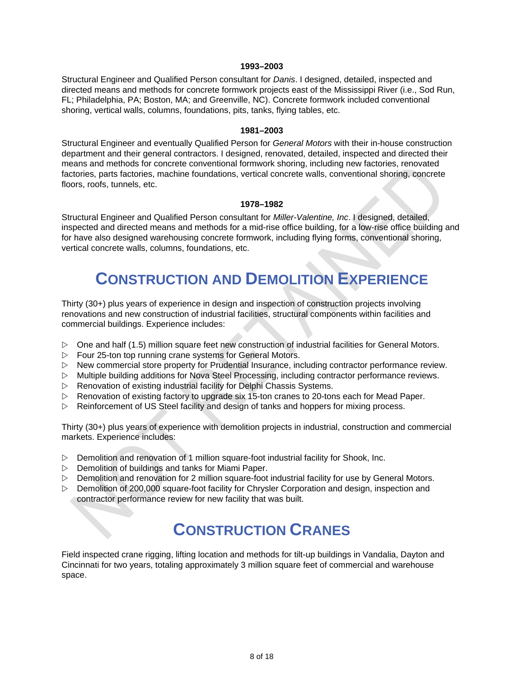#### **1993–2003**

Structural Engineer and Qualified Person consultant for *Danis*. I designed, detailed, inspected and directed means and methods for concrete formwork projects east of the Mississippi River (i.e., Sod Run, FL; Philadelphia, PA; Boston, MA; and Greenville, NC). Concrete formwork included conventional shoring, vertical walls, columns, foundations, pits, tanks, flying tables, etc.

#### **1981–2003**

Structural Engineer and eventually Qualified Person for *General Motors* with their in-house construction department and their general contractors. I designed, renovated, detailed, inspected and directed their means and methods for concrete conventional formwork shoring, including new factories, renovated factories, parts factories, machine foundations, vertical concrete walls, conventional shoring, concrete floors, roofs, tunnels, etc.

#### **1978–1982**

Structural Engineer and Qualified Person consultant for *Miller-Valentine, Inc*. I designed, detailed, inspected and directed means and methods for a mid-rise office building, for a low-rise office building and for have also designed warehousing concrete formwork, including flying forms, conventional shoring, vertical concrete walls, columns, foundations, etc.

### **CONSTRUCTION AND DEMOLITION EXPERIENCE**

Thirty (30+) plus years of experience in design and inspection of construction projects involving renovations and new construction of industrial facilities, structural components within facilities and commercial buildings. Experience includes:

- $\triangleright$  One and half (1.5) million square feet new construction of industrial facilities for General Motors.
- $\triangleright$  Four 25-ton top running crane systems for General Motors.
- $\triangleright$  New commercial store property for Prudential Insurance, including contractor performance review.
- $\triangleright$  Multiple building additions for Nova Steel Processing, including contractor performance reviews.
- $\triangleright$  Renovation of existing industrial facility for Delphi Chassis Systems.
- $\triangleright$  Renovation of existing factory to upgrade six 15-ton cranes to 20-tons each for Mead Paper.
- $\triangleright$  Reinforcement of US Steel facility and design of tanks and hoppers for mixing process.

Thirty (30+) plus years of experience with demolition projects in industrial, construction and commercial markets. Experience includes:

- $\triangleright$  Demolition and renovation of 1 million square-foot industrial facility for Shook, Inc.
- $\triangleright$  Demolition of buildings and tanks for Miami Paper.
- $\triangleright$  Demolition and renovation for 2 million square-foot industrial facility for use by General Motors.
- $\triangleright$  Demolition of 200,000 square-foot facility for Chrysler Corporation and design, inspection and contractor performance review for new facility that was built.

### **CONSTRUCTION CRANES**

Field inspected crane rigging, lifting location and methods for tilt-up buildings in Vandalia, Dayton and Cincinnati for two years, totaling approximately 3 million square feet of commercial and warehouse space.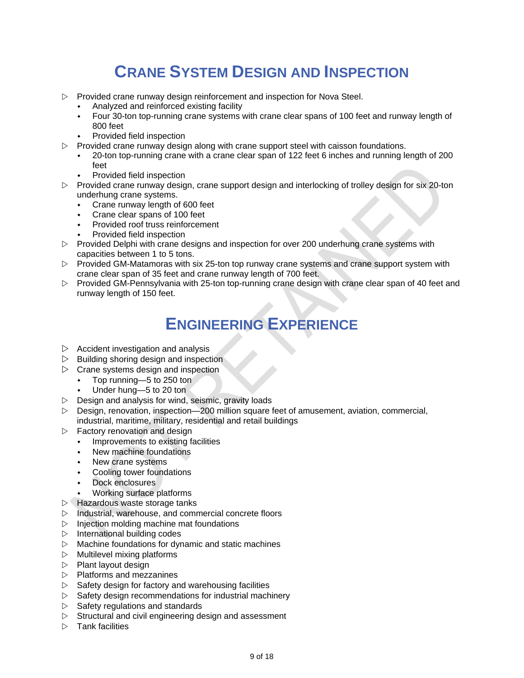# **CRANE SYSTEM DESIGN AND INSPECTION**

- $\triangleright$  Provided crane runway design reinforcement and inspection for Nova Steel.
	- Analyzed and reinforced existing facility
	- Four 30-ton top-running crane systems with crane clear spans of 100 feet and runway length of 800 feet
	- Provided field inspection
- $\triangleright$  Provided crane runway design along with crane support steel with caisson foundations.
	- 20-ton top-running crane with a crane clear span of 122 feet 6 inches and running length of 200 feet
	- Provided field inspection
- $\triangleright$  Provided crane runway design, crane support design and interlocking of trolley design for six 20-ton underhung crane systems.
	- Crane runway length of 600 feet
	- Crane clear spans of 100 feet
	- Provided roof truss reinforcement
	- Provided field inspection
- $\triangleright$  Provided Delphi with crane designs and inspection for over 200 underhung crane systems with capacities between 1 to 5 tons.
- $\triangleright$  Provided GM-Matamoras with six 25-ton top runway crane systems and crane support system with crane clear span of 35 feet and crane runway length of 700 feet.
- $\triangleright$  Provided GM-Pennsylvania with 25-ton top-running crane design with crane clear span of 40 feet and runway length of 150 feet.

## **ENGINEERING EXPERIENCE**

- $\triangleright$  Accident investigation and analysis
- $\triangleright$  Building shoring design and inspection
- $\triangleright$  Crane systems design and inspection
	- Top running—5 to 250 ton
	- Under hung—5 to 20 ton
- $\triangleright$  Design and analysis for wind, seismic, gravity loads
- $\triangleright$  Design, renovation, inspection—200 million square feet of amusement, aviation, commercial, industrial, maritime, military, residential and retail buildings
- $\triangleright$  Factory renovation and design
	- Improvements to existing facilities
	- New machine foundations
	- New crane systems
	- Cooling tower foundations
	- Dock enclosures
	- Working surface platforms
- $\triangleright$  Hazardous waste storage tanks
- $\triangleright$  Industrial, warehouse, and commercial concrete floors
- $\triangleright$  Injection molding machine mat foundations
- $\triangleright$  International building codes
- $\triangleright$  Machine foundations for dynamic and static machines
- $\triangleright$  Multilevel mixing platforms
- $\triangleright$  Plant layout design
- $\triangleright$  Platforms and mezzanines
- $\triangleright$  Safety design for factory and warehousing facilities
- $\triangleright$  Safety design recommendations for industrial machinery
- $\triangleright$  Safety regulations and standards
- $\triangleright$  Structural and civil engineering design and assessment
- $\triangleright$  Tank facilities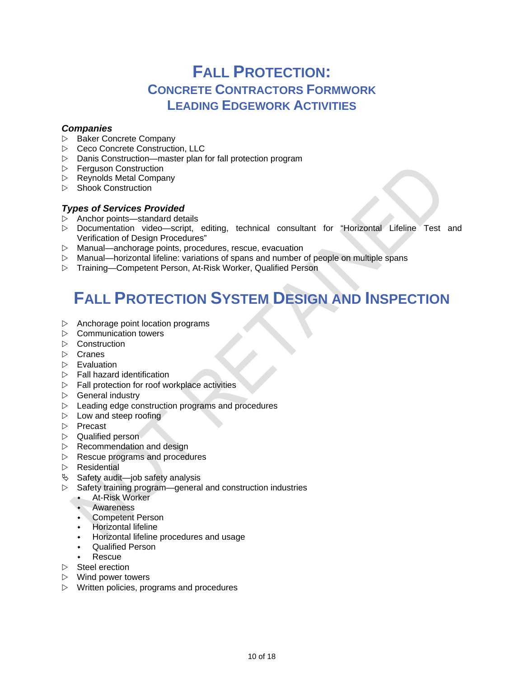### **FALL PROTECTION: CONCRETE CONTRACTORS FORMWORK LEADING EDGEWORK ACTIVITIES**

#### *Companies*

- $\triangleright$  Baker Concrete Company
- **▷** Ceco Concrete Construction, LLC
- $\triangleright$  Danis Construction—master plan for fall protection program
- $\triangleright$  Ferguson Construction
- $\triangleright$  Reynolds Metal Company
- $\triangleright$  Shook Construction

#### *Types of Services Provided*

- $\triangleright$  Anchor points—standard details
- Documentation video—script, editing, technical consultant for "Horizontal Lifeline Test and Verification of Design Procedures"
- Manual—anchorage points, procedures, rescue, evacuation
- $\triangleright$  Manual—horizontal lifeline: variations of spans and number of people on multiple spans
- Training—Competent Person, At-Risk Worker, Qualified Person

# **FALL PROTECTION SYSTEM DESIGN AND INSPECTION**

- $\triangleright$  Anchorage point location programs
- $\triangleright$  Communication towers
- $\triangleright$  Construction
- $\triangleright$  Cranes
- $\triangleright$  Evaluation
- $\triangleright$  Fall hazard identification
- $\triangleright$  Fall protection for roof workplace activities
- $\triangleright$  General industry
- $\triangleright$  Leading edge construction programs and procedures
- $\triangleright$  Low and steep roofing
- $\triangleright$  Precast
- $\triangleright$  Qualified person
- $\triangleright$  Recommendation and design
- $\triangleright$  Rescue programs and procedures
- $\triangleright$  Residential
- $\%$  Safety audit—job safety analysis
- $\triangleright$  Safety training program—general and construction industries
	- At-Risk Worker
	- Awareness
	- Competent Person
	- Horizontal lifeline
	- Horizontal lifeline procedures and usage
	- Qualified Person
	- Rescue
- $\triangleright$  Steel erection
- $\triangleright$  Wind power towers
- $\triangleright$  Written policies, programs and procedures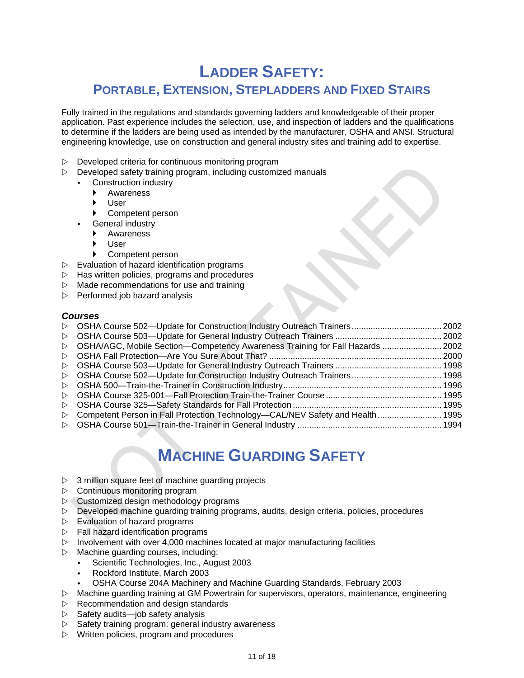### **LADDER SAFETY: PORTABLE, EXTENSION, STEPLADDERS AND FIXED STAIRS**

Fully trained in the regulations and standards governing ladders and knowledgeable of their proper application. Past experience includes the selection, use, and inspection of ladders and the qualifications to determine if the ladders are being used as intended by the manufacturer, OSHA and ANSI. Structural engineering knowledge, use on construction and general industry sites and training add to expertise.

- $\triangleright$  Developed criteria for continuous monitoring program
- $\triangleright$  Developed safety training program, including customized manuals
	- Construction industry
		- Awareness
		- User
		- Competent person
		- General industry
		- Awareness
		- User
		- Competent person
- $\triangleright$  Evaluation of hazard identification programs
- $\triangleright$  Has written policies, programs and procedures
- $\triangleright$  Made recommendations for use and training
- $\triangleright$  Performed job hazard analysis

#### *Courses*

|                  | ▷ OSHA/AGC, Mobile Section—Competency Awareness Training for Fall Hazards  2002 |  |
|------------------|---------------------------------------------------------------------------------|--|
|                  |                                                                                 |  |
|                  |                                                                                 |  |
|                  |                                                                                 |  |
|                  |                                                                                 |  |
|                  |                                                                                 |  |
|                  |                                                                                 |  |
| $\triangleright$ | Competent Person in Fall Protection Technology-CAL/NEV Safety and Health  1995  |  |
|                  |                                                                                 |  |

## **MACHINE GUARDING SAFETY**

- $\triangleright$  3 million square feet of machine guarding projects
- $\triangleright$  Continuous monitoring program
- $\triangleright$  Customized design methodology programs
- $\triangleright$  Developed machine guarding training programs, audits, design criteria, policies, procedures
- $\triangleright$  Evaluation of hazard programs
- $\triangleright$  Fall hazard identification programs
- $\triangleright$  Involvement with over 4,000 machines located at major manufacturing facilities
- $\triangleright$  Machine guarding courses, including:
	- Scientific Technologies, Inc., August 2003
	- Rockford Institute, March 2003
	- OSHA Course 204A Machinery and Machine Guarding Standards, February 2003
- Machine guarding training at GM Powertrain for supervisors, operators, maintenance, engineering
- $\triangleright$  Recommendation and design standards
- $\triangleright$  Safety audits—job safety analysis
- $\triangleright$  Safety training program: general industry awareness
- $\triangleright$  Written policies, program and procedures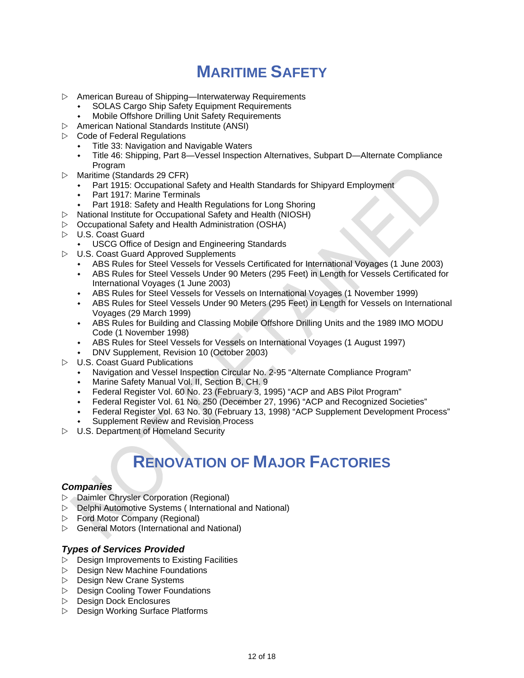# **MARITIME SAFETY**

- $\triangleright$  American Bureau of Shipping—Interwaterway Requirements
	- SOLAS Cargo Ship Safety Equipment Requirements
	- Mobile Offshore Drilling Unit Safety Requirements
- $\triangleright$  American National Standards Institute (ANSI)
- $\triangleright$  Code of Federal Regulations
	- Title 33: Navigation and Navigable Waters
	- Title 46: Shipping, Part 8—Vessel Inspection Alternatives, Subpart D—Alternate Compliance Program
- $\triangleright$  Maritime (Standards 29 CFR)
	- Part 1915: Occupational Safety and Health Standards for Shipyard Employment
	- Part 1917: Marine Terminals
	- Part 1918: Safety and Health Regulations for Long Shoring
- $\triangleright$  National Institute for Occupational Safety and Health (NIOSH)
- $\triangleright$  Occupational Safety and Health Administration (OSHA)
- $\triangleright$  U.S. Coast Guard
	- USCG Office of Design and Engineering Standards
- U.S. Coast Guard Approved Supplements
	- ABS Rules for Steel Vessels for Vessels Certificated for International Voyages (1 June 2003)
	- ABS Rules for Steel Vessels Under 90 Meters (295 Feet) in Length for Vessels Certificated for International Voyages (1 June 2003)
	- ABS Rules for Steel Vessels for Vessels on International Voyages (1 November 1999)
	- ABS Rules for Steel Vessels Under 90 Meters (295 Feet) in Length for Vessels on International Voyages (29 March 1999)
	- ABS Rules for Building and Classing Mobile Offshore Drilling Units and the 1989 IMO MODU Code (1 November 1998)
	- ABS Rules for Steel Vessels for Vessels on International Voyages (1 August 1997)
	- DNV Supplement, Revision 10 (October 2003)
- U.S. Coast Guard Publications
	- Navigation and Vessel Inspection Circular No. 2-95 "Alternate Compliance Program"
	- Marine Safety Manual Vol. II, Section B, CH. 9
	- Federal Register Vol. 60 No. 23 (February 3, 1995) "ACP and ABS Pilot Program"
	- Federal Register Vol. 61 No. 250 (December 27, 1996) "ACP and Recognized Societies"
	- Federal Register Vol. 63 No. 30 (February 13, 1998) "ACP Supplement Development Process"
	- Supplement Review and Revision Process
- $\triangleright$  U.S. Department of Homeland Security

# **RENOVATION OF MAJOR FACTORIES**

#### *Companies*

- Daimler Chrysler Corporation (Regional)
- Delphi Automotive Systems ( International and National)
- Ford Motor Company (Regional)
- $\triangleright$  General Motors (International and National)

#### *Types of Services Provided*

- $\triangleright$  Design Improvements to Existing Facilities
- $\triangleright$  Design New Machine Foundations
- $\triangleright$  Design New Crane Systems
- $\triangleright$  Design Cooling Tower Foundations
- $\triangleright$  Design Dock Enclosures
- $\triangleright$  Design Working Surface Platforms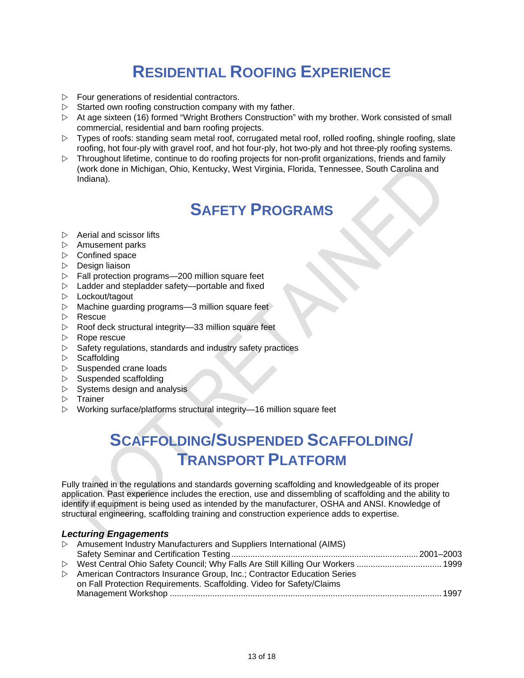# **RESIDENTIAL ROOFING EXPERIENCE**

- $\triangleright$  Four generations of residential contractors.
- $\triangleright$  Started own roofing construction company with my father.
- At age sixteen (16) formed "Wright Brothers Construction" with my brother. Work consisted of small commercial, residential and barn roofing projects.
- $\triangleright$  Types of roofs: standing seam metal roof, corrugated metal roof, rolled roofing, shingle roofing, slate roofing, hot four-ply with gravel roof, and hot four-ply, hot two-ply and hot three-ply roofing systems.
- $\triangleright$  Throughout lifetime, continue to do roofing projects for non-profit organizations, friends and family (work done in Michigan, Ohio, Kentucky, West Virginia, Florida, Tennessee, South Carolina and Indiana).

### **SAFETY PROGRAMS**

- $\triangleright$  Aerial and scissor lifts
- $\triangleright$  Amusement parks
- $\triangleright$  Confined space
- $\triangleright$  Design liaison
- $\triangleright$  Fall protection programs—200 million square feet
- $\triangleright$  Ladder and stepladder safety—portable and fixed
- $\triangleright$  Lockout/tagout
- $\triangleright$  Machine guarding programs—3 million square feet
- $\triangleright$  Rescue
- $\triangleright$  Roof deck structural integrity—33 million square feet
- $\triangleright$  Rope rescue
- $\triangleright$  Safety regulations, standards and industry safety practices
- $\triangleright$  Scaffolding
- $\triangleright$  Suspended crane loads
- $\triangleright$  Suspended scaffolding
- $\triangleright$  Systems design and analysis
- $\triangleright$  Trainer
- Working surface/platforms structural integrity—16 million square feet

# **SCAFFOLDING/SUSPENDED SCAFFOLDING/ TRANSPORT PLATFORM**

Fully trained in the regulations and standards governing scaffolding and knowledgeable of its proper application. Past experience includes the erection, use and dissembling of scaffolding and the ability to identify if equipment is being used as intended by the manufacturer, OSHA and ANSI. Knowledge of structural engineering, scaffolding training and construction experience adds to expertise.

#### *Lecturing Engagements*

| $\triangleright$ Amusement Industry Manufacturers and Suppliers International (AIMS) |  |
|--------------------------------------------------------------------------------------|--|
|                                                                                      |  |
| ▷ West Central Ohio Safety Council; Why Falls Are Still Killing Our Workers  1999    |  |
| ▷ American Contractors Insurance Group, Inc.; Contractor Education Series            |  |
| on Fall Protection Requirements. Scaffolding. Video for Safety/Claims                |  |
|                                                                                      |  |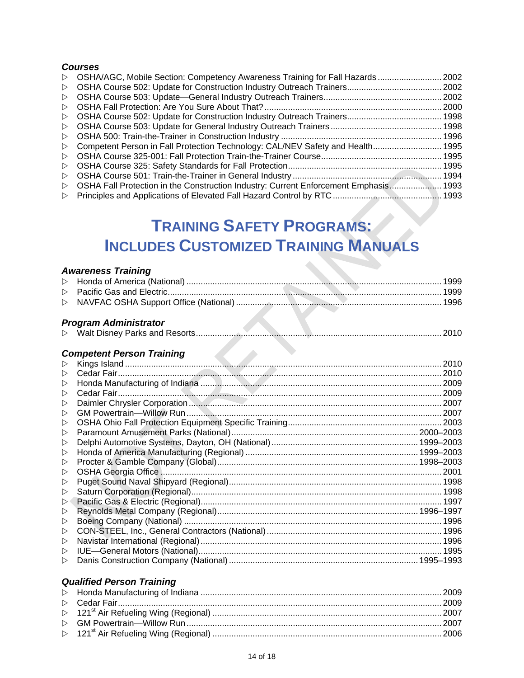#### *Courses*

|                  | ▷ OSHA/AGC, Mobile Section: Competency Awareness Training for Fall Hazards  2002       |  |
|------------------|----------------------------------------------------------------------------------------|--|
|                  |                                                                                        |  |
|                  |                                                                                        |  |
|                  |                                                                                        |  |
|                  |                                                                                        |  |
|                  |                                                                                        |  |
|                  |                                                                                        |  |
| $\triangleright$ | Competent Person in Fall Protection Technology: CAL/NEV Safety and Health 1995         |  |
|                  |                                                                                        |  |
|                  |                                                                                        |  |
|                  |                                                                                        |  |
|                  | ▷ OSHA Fall Protection in the Construction Industry: Current Enforcement Emphasis 1993 |  |
|                  |                                                                                        |  |

# **TRAINING SAFETY PROGRAMS: INCLUDES CUSTOMIZED TRAINING MANUALS**

### *Awareness Training*

|                  | <b>Awareness Training</b>        |      |  |  |  |  |
|------------------|----------------------------------|------|--|--|--|--|
| $\triangleright$ |                                  |      |  |  |  |  |
| $\triangleright$ |                                  |      |  |  |  |  |
| $\triangleright$ |                                  |      |  |  |  |  |
|                  |                                  |      |  |  |  |  |
|                  | <b>Program Administrator</b>     |      |  |  |  |  |
|                  |                                  | 2010 |  |  |  |  |
|                  | <b>Competent Person Training</b> |      |  |  |  |  |
| $\triangleright$ |                                  |      |  |  |  |  |
| $\triangleright$ |                                  |      |  |  |  |  |
| $\triangleright$ |                                  |      |  |  |  |  |
| $\triangleright$ |                                  |      |  |  |  |  |
| $\triangleright$ |                                  |      |  |  |  |  |
| $\triangleright$ |                                  |      |  |  |  |  |
| $\triangleright$ |                                  |      |  |  |  |  |
| $\triangleright$ |                                  |      |  |  |  |  |
| $\triangleright$ |                                  |      |  |  |  |  |
| $\triangleright$ |                                  |      |  |  |  |  |
| $\triangleright$ |                                  |      |  |  |  |  |
| $\triangleright$ |                                  |      |  |  |  |  |
| $\triangleright$ |                                  |      |  |  |  |  |
| $\triangleright$ |                                  |      |  |  |  |  |
| $\triangleright$ |                                  |      |  |  |  |  |
| $\triangleright$ |                                  |      |  |  |  |  |
| $\triangleright$ |                                  |      |  |  |  |  |
| $\triangleright$ |                                  |      |  |  |  |  |
| $\triangleright$ |                                  |      |  |  |  |  |
| $\triangleright$ |                                  |      |  |  |  |  |
| $\triangleright$ |                                  |      |  |  |  |  |

### *Qualified Person Training*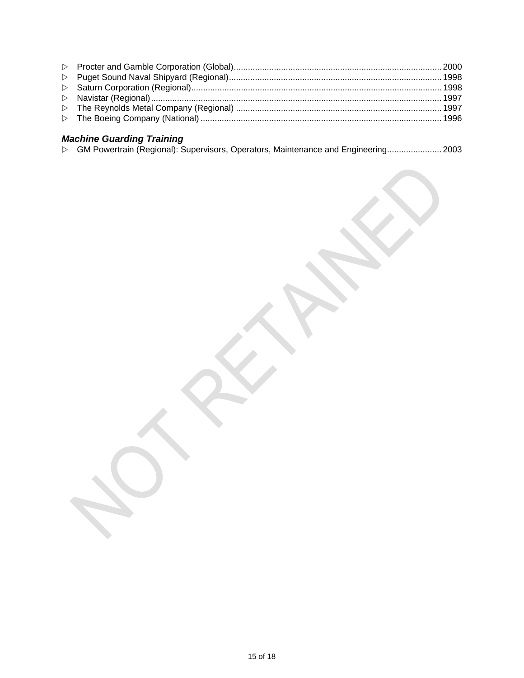### *Machine Guarding Training*

|  |  |  | ▷ GM Powertrain (Regional): Supervisors, Operators, Maintenance and Engineering 2003 |
|--|--|--|--------------------------------------------------------------------------------------|
|  |  |  |                                                                                      |
|  |  |  |                                                                                      |
|  |  |  |                                                                                      |
|  |  |  |                                                                                      |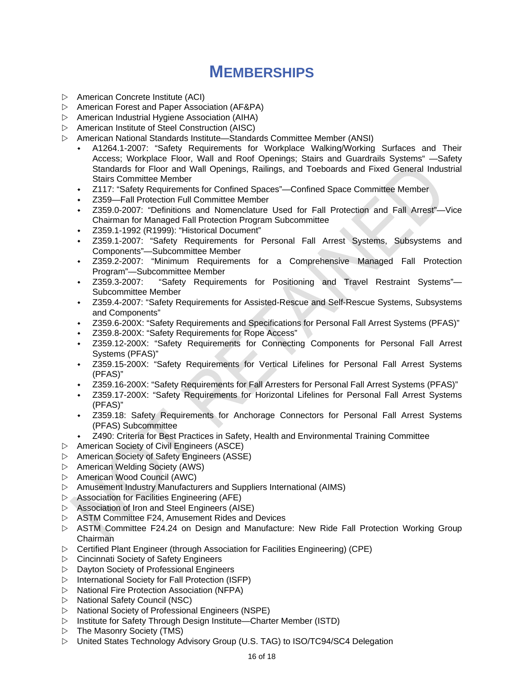### **MEMBERSHIPS**

- $\triangleright$  American Concrete Institute (ACI)
- $\triangleright$  American Forest and Paper Association (AF&PA)
- $\triangleright$  American Industrial Hygiene Association (AIHA)
- $\triangleright$  American Institute of Steel Construction (AISC)
- American National Standards Institute—Standards Committee Member (ANSI)
	- A1264.1-2007: "Safety Requirements for Workplace Walking/Working Surfaces and Their Access; Workplace Floor, Wall and Roof Openings; Stairs and Guardrails Systems" —Safety Standards for Floor and Wall Openings, Railings, and Toeboards and Fixed General Industrial Stairs Committee Member
	- Z117: "Safety Requirements for Confined Spaces"—Confined Space Committee Member
	- Z359—Fall Protection Full Committee Member
	- Z359.0-2007: "Definitions and Nomenclature Used for Fall Protection and Fall Arrest"—Vice Chairman for Managed Fall Protection Program Subcommittee
	- Z359.1-1992 (R1999): "Historical Document"
	- Z359.1-2007: "Safety Requirements for Personal Fall Arrest Systems, Subsystems and Components"—Subcommittee Member
	- Z359.2-2007: "Minimum Requirements for a Comprehensive Managed Fall Protection Program"—Subcommittee Member
	- Z359.3-2007: "Safety Requirements for Positioning and Travel Restraint Systems"— Subcommittee Member
	- Z359.4-2007: "Safety Requirements for Assisted-Rescue and Self-Rescue Systems, Subsystems and Components"
	- Z359.6-200X: "Safety Requirements and Specifications for Personal Fall Arrest Systems (PFAS)"
	- Z359.8-200X: "Safety Requirements for Rope Access"
	- Z359.12-200X: "Safety Requirements for Connecting Components for Personal Fall Arrest Systems (PFAS)"
	- Z359.15-200X: "Safety Requirements for Vertical Lifelines for Personal Fall Arrest Systems (PFAS)"
	- Z359.16-200X: "Safety Requirements for Fall Arresters for Personal Fall Arrest Systems (PFAS)"
	- Z359.17-200X: "Safety Requirements for Horizontal Lifelines for Personal Fall Arrest Systems (PFAS)"
	- Z359.18: Safety Requirements for Anchorage Connectors for Personal Fall Arrest Systems (PFAS) Subcommittee
	- Z490: Criteria for Best Practices in Safety, Health and Environmental Training Committee
- $\triangleright$  American Society of Civil Engineers (ASCE)
- $\triangleright$  American Society of Safety Engineers (ASSE)
- $\triangleright$  American Welding Society (AWS)
- $\triangleright$  American Wood Council (AWC)
- $\triangleright$  Amusement Industry Manufacturers and Suppliers International (AIMS)
- $\triangleright$  Association for Facilities Engineering (AFE)
- Association of Iron and Steel Engineers (AISE)
- ASTM Committee F24, Amusement Rides and Devices
- ASTM Committee F24.24 on Design and Manufacture: New Ride Fall Protection Working Group Chairman
- $\triangleright$  Certified Plant Engineer (through Association for Facilities Engineering) (CPE)
- $\triangleright$  Cincinnati Society of Safety Engineers
- $\triangleright$  Dayton Society of Professional Engineers
- $\triangleright$  International Society for Fall Protection (ISFP)
- $\triangleright$  National Fire Protection Association (NFPA)
- $\triangleright$  National Safety Council (NSC)
- $\triangleright$  National Society of Professional Engineers (NSPE)
- $\triangleright$  Institute for Safety Through Design Institute—Charter Member (ISTD)
- $\triangleright$  The Masonry Society (TMS)
- United States Technology Advisory Group (U.S. TAG) to ISO/TC94/SC4 Delegation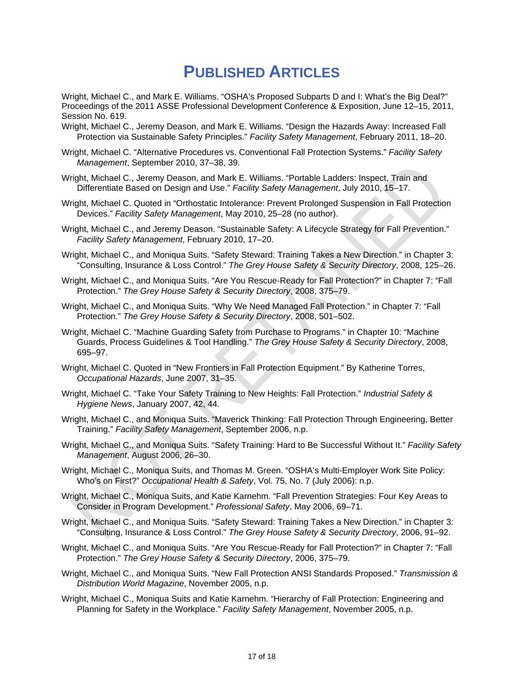### **PUBLISHED ARTICLES**

Wright, Michael C., and Mark E. Williams. "OSHA's Proposed Subparts D and I: What's the Big Deal?" Proceedings of the 2011 ASSE Professional Development Conference & Exposition, June 12–15, 2011, Session No. 619.

- Wright, Michael C., Jeremy Deason, and Mark E. Williams. "Design the Hazards Away: Increased Fall Protection via Sustainable Safety Principles." *Facility Safety Management*, February 2011, 18–20.
- Wright, Michael C. "Alternative Procedures vs. Conventional Fall Protection Systems." *Facility Safety Management*, September 2010, 37–38, 39.
- Wright, Michael C., Jeremy Deason, and Mark E. Williams. "Portable Ladders: Inspect, Train and Differentiate Based on Design and Use." *Facility Safety Management*, July 2010, 15–17.
- Wright, Michael C. Quoted in "Orthostatic Intolerance: Prevent Prolonged Suspension in Fall Protection Devices." *Facility Safety Management*, May 2010, 25–28 (no author).
- Wright, Michael C., and Jeremy Deason. "Sustainable Safety: A Lifecycle Strategy for Fall Prevention." *Facility Safety Management*, February 2010, 17–20.
- Wright, Michael C., and Moniqua Suits. "Safety Steward: Training Takes a New Direction." in Chapter 3: "Consulting, Insurance & Loss Control." *The Grey House Safety & Security Directory*, 2008, 125–26.
- Wright, Michael C., and Moniqua Suits. "Are You Rescue-Ready for Fall Protection?" in Chapter 7: "Fall Protection." *The Grey House Safety & Security Directory*, 2008, 375–79.
- Wright, Michael C., and Moniqua Suits. "Why We Need Managed Fall Protection." in Chapter 7: "Fall Protection." *The Grey House Safety & Security Directory*, 2008, 501–502.
- Wright, Michael C. "Machine Guarding Safety from Purchase to Programs." in Chapter 10: "Machine Guards, Process Guidelines & Tool Handling." *The Grey House Safety & Security Directory*, 2008, 695–97.
- Wright, Michael C. Quoted in "New Frontiers in Fall Protection Equipment." By Katherine Torres, *Occupational Hazards*, June 2007, 31–35.
- Wright, Michael C. "Take Your Safety Training to New Heights: Fall Protection." *Industrial Safety & Hygiene News*, January 2007, 42, 44.
- Wright, Michael C., and Moniqua Suits. "Maverick Thinking: Fall Protection Through Engineering, Better Training." *Facility Safety Management*, September 2006, n.p.
- Wright, Michael C., and Moniqua Suits. "Safety Training: Hard to Be Successful Without It." *Facility Safety Management*, August 2006, 26–30.
- Wright, Michael C., Moniqua Suits, and Thomas M. Green. "OSHA's Multi-Employer Work Site Policy: Who's on First?" *Occupational Health & Safety*, Vol. 75, No. 7 (July 2006): n.p.
- Wright, Michael C., Moniqua Suits, and Katie Karnehm. "Fall Prevention Strategies: Four Key Areas to Consider in Program Development." *Professional Safety*, May 2006, 69–71.
- Wright, Michael C., and Moniqua Suits. "Safety Steward: Training Takes a New Direction." in Chapter 3: "Consulting, Insurance & Loss Control." *The Grey House Safety & Security Directory*, 2006, 91–92.
- Wright, Michael C., and Moniqua Suits. "Are You Rescue-Ready for Fall Protection?" in Chapter 7: "Fall Protection." *The Grey House Safety & Security Directory*, 2006, 375–79.
- Wright, Michael C., and Moniqua Suits. "New Fall Protection ANSI Standards Proposed." *Transmission & Distribution World Magazine*, November 2005, n.p.
- Wright, Michael C., Moniqua Suits and Katie Karnehm. "Hierarchy of Fall Protection: Engineering and Planning for Safety in the Workplace." *Facility Safety Management*, November 2005, n.p.